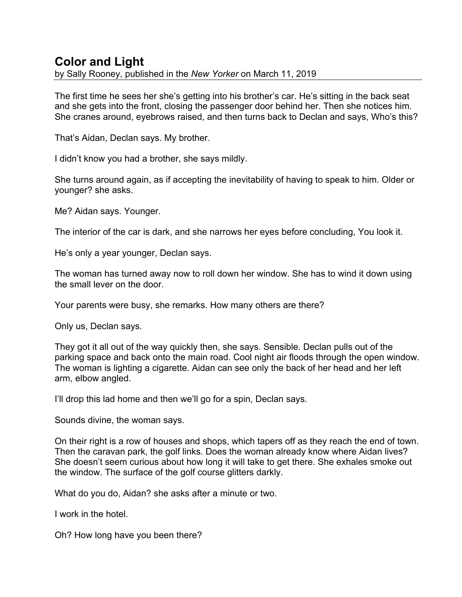## **Color and Light**

by Sally Rooney, published in the *New Yorker* on March 11, 2019

The first time he sees her she's getting into his brother's car. He's sitting in the back seat and she gets into the front, closing the passenger door behind her. Then she notices him. She cranes around, eyebrows raised, and then turns back to Declan and says, Who's this?

That's Aidan, Declan says. My brother.

I didn't know you had a brother, she says mildly.

She turns around again, as if accepting the inevitability of having to speak to him. Older or younger? she asks.

Me? Aidan says. Younger.

The interior of the car is dark, and she narrows her eyes before concluding, You look it.

He's only a year younger, Declan says.

The woman has turned away now to roll down her window. She has to wind it down using the small lever on the door.

Your parents were busy, she remarks. How many others are there?

Only us, Declan says.

They got it all out of the way quickly then, she says. Sensible. Declan pulls out of the parking space and back onto the main road. Cool night air floods through the open window. The woman is lighting a cigarette. Aidan can see only the back of her head and her left arm, elbow angled.

I'll drop this lad home and then we'll go for a spin, Declan says.

Sounds divine, the woman says.

On their right is a row of houses and shops, which tapers off as they reach the end of town. Then the caravan park, the golf links. Does the woman already know where Aidan lives? She doesn't seem curious about how long it will take to get there. She exhales smoke out the window. The surface of the golf course glitters darkly.

What do you do, Aidan? she asks after a minute or two.

I work in the hotel.

Oh? How long have you been there?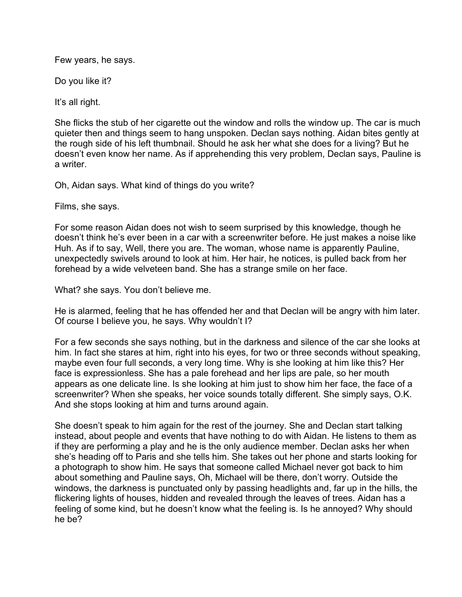Few years, he says.

Do you like it?

It's all right.

She flicks the stub of her cigarette out the window and rolls the window up. The car is much quieter then and things seem to hang unspoken. Declan says nothing. Aidan bites gently at the rough side of his left thumbnail. Should he ask her what she does for a living? But he doesn't even know her name. As if apprehending this very problem, Declan says, Pauline is a writer.

Oh, Aidan says. What kind of things do you write?

Films, she says.

For some reason Aidan does not wish to seem surprised by this knowledge, though he doesn't think he's ever been in a car with a screenwriter before. He just makes a noise like Huh. As if to say, Well, there you are. The woman, whose name is apparently Pauline, unexpectedly swivels around to look at him. Her hair, he notices, is pulled back from her forehead by a wide velveteen band. She has a strange smile on her face.

What? she says. You don't believe me.

He is alarmed, feeling that he has offended her and that Declan will be angry with him later. Of course I believe you, he says. Why wouldn't I?

For a few seconds she says nothing, but in the darkness and silence of the car she looks at him. In fact she stares at him, right into his eyes, for two or three seconds without speaking, maybe even four full seconds, a very long time. Why is she looking at him like this? Her face is expressionless. She has a pale forehead and her lips are pale, so her mouth appears as one delicate line. Is she looking at him just to show him her face, the face of a screenwriter? When she speaks, her voice sounds totally different. She simply says, O.K. And she stops looking at him and turns around again.

She doesn't speak to him again for the rest of the journey. She and Declan start talking instead, about people and events that have nothing to do with Aidan. He listens to them as if they are performing a play and he is the only audience member. Declan asks her when she's heading off to Paris and she tells him. She takes out her phone and starts looking for a photograph to show him. He says that someone called Michael never got back to him about something and Pauline says, Oh, Michael will be there, don't worry. Outside the windows, the darkness is punctuated only by passing headlights and, far up in the hills, the flickering lights of houses, hidden and revealed through the leaves of trees. Aidan has a feeling of some kind, but he doesn't know what the feeling is. Is he annoyed? Why should he be?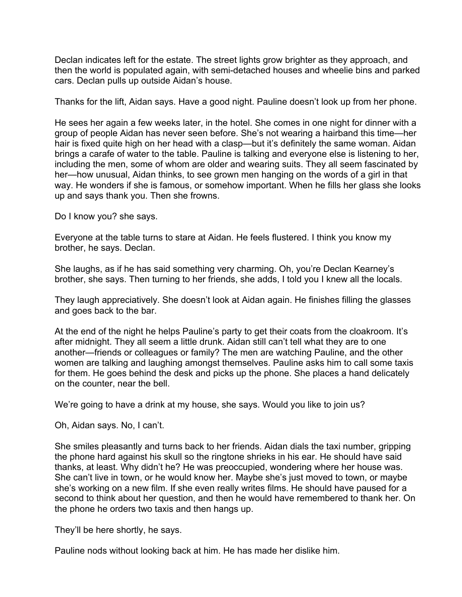Declan indicates left for the estate. The street lights grow brighter as they approach, and then the world is populated again, with semi-detached houses and wheelie bins and parked cars. Declan pulls up outside Aidan's house.

Thanks for the lift, Aidan says. Have a good night. Pauline doesn't look up from her phone.

He sees her again a few weeks later, in the hotel. She comes in one night for dinner with a group of people Aidan has never seen before. She's not wearing a hairband this time—her hair is fixed quite high on her head with a clasp—but it's definitely the same woman. Aidan brings a carafe of water to the table. Pauline is talking and everyone else is listening to her, including the men, some of whom are older and wearing suits. They all seem fascinated by her—how unusual, Aidan thinks, to see grown men hanging on the words of a girl in that way. He wonders if she is famous, or somehow important. When he fills her glass she looks up and says thank you. Then she frowns.

Do I know you? she says.

Everyone at the table turns to stare at Aidan. He feels flustered. I think you know my brother, he says. Declan.

She laughs, as if he has said something very charming. Oh, you're Declan Kearney's brother, she says. Then turning to her friends, she adds, I told you I knew all the locals.

They laugh appreciatively. She doesn't look at Aidan again. He finishes filling the glasses and goes back to the bar.

At the end of the night he helps Pauline's party to get their coats from the cloakroom. It's after midnight. They all seem a little drunk. Aidan still can't tell what they are to one another—friends or colleagues or family? The men are watching Pauline, and the other women are talking and laughing amongst themselves. Pauline asks him to call some taxis for them. He goes behind the desk and picks up the phone. She places a hand delicately on the counter, near the bell.

We're going to have a drink at my house, she says. Would you like to join us?

Oh, Aidan says. No, I can't.

She smiles pleasantly and turns back to her friends. Aidan dials the taxi number, gripping the phone hard against his skull so the ringtone shrieks in his ear. He should have said thanks, at least. Why didn't he? He was preoccupied, wondering where her house was. She can't live in town, or he would know her. Maybe she's just moved to town, or maybe she's working on a new film. If she even really writes films. He should have paused for a second to think about her question, and then he would have remembered to thank her. On the phone he orders two taxis and then hangs up.

They'll be here shortly, he says.

Pauline nods without looking back at him. He has made her dislike him.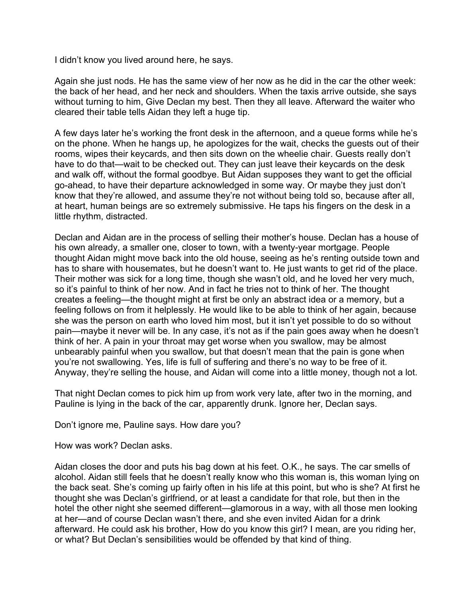I didn't know you lived around here, he says.

Again she just nods. He has the same view of her now as he did in the car the other week: the back of her head, and her neck and shoulders. When the taxis arrive outside, she says without turning to him, Give Declan my best. Then they all leave. Afterward the waiter who cleared their table tells Aidan they left a huge tip.

A few days later he's working the front desk in the afternoon, and a queue forms while he's on the phone. When he hangs up, he apologizes for the wait, checks the guests out of their rooms, wipes their keycards, and then sits down on the wheelie chair. Guests really don't have to do that—wait to be checked out. They can just leave their keycards on the desk and walk off, without the formal goodbye. But Aidan supposes they want to get the official go-ahead, to have their departure acknowledged in some way. Or maybe they just don't know that they're allowed, and assume they're not without being told so, because after all, at heart, human beings are so extremely submissive. He taps his fingers on the desk in a little rhythm, distracted.

Declan and Aidan are in the process of selling their mother's house. Declan has a house of his own already, a smaller one, closer to town, with a twenty-year mortgage. People thought Aidan might move back into the old house, seeing as he's renting outside town and has to share with housemates, but he doesn't want to. He just wants to get rid of the place. Their mother was sick for a long time, though she wasn't old, and he loved her very much, so it's painful to think of her now. And in fact he tries not to think of her. The thought creates a feeling—the thought might at first be only an abstract idea or a memory, but a feeling follows on from it helplessly. He would like to be able to think of her again, because she was the person on earth who loved him most, but it isn't yet possible to do so without pain—maybe it never will be. In any case, it's not as if the pain goes away when he doesn't think of her. A pain in your throat may get worse when you swallow, may be almost unbearably painful when you swallow, but that doesn't mean that the pain is gone when you're not swallowing. Yes, life is full of suffering and there's no way to be free of it. Anyway, they're selling the house, and Aidan will come into a little money, though not a lot.

That night Declan comes to pick him up from work very late, after two in the morning, and Pauline is lying in the back of the car, apparently drunk. Ignore her, Declan says.

Don't ignore me, Pauline says. How dare you?

How was work? Declan asks.

Aidan closes the door and puts his bag down at his feet. O.K., he says. The car smells of alcohol. Aidan still feels that he doesn't really know who this woman is, this woman lying on the back seat. She's coming up fairly often in his life at this point, but who is she? At first he thought she was Declan's girlfriend, or at least a candidate for that role, but then in the hotel the other night she seemed different—glamorous in a way, with all those men looking at her—and of course Declan wasn't there, and she even invited Aidan for a drink afterward. He could ask his brother, How do you know this girl? I mean, are you riding her, or what? But Declan's sensibilities would be offended by that kind of thing.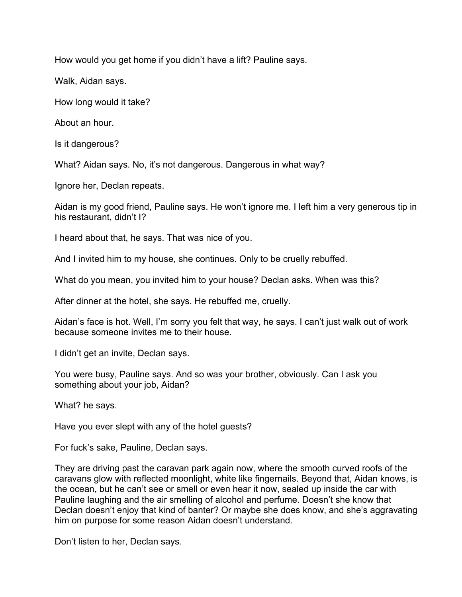How would you get home if you didn't have a lift? Pauline says.

Walk, Aidan says.

How long would it take?

About an hour.

Is it dangerous?

What? Aidan says. No, it's not dangerous. Dangerous in what way?

Ignore her, Declan repeats.

Aidan is my good friend, Pauline says. He won't ignore me. I left him a very generous tip in his restaurant, didn't I?

I heard about that, he says. That was nice of you.

And I invited him to my house, she continues. Only to be cruelly rebuffed.

What do you mean, you invited him to your house? Declan asks. When was this?

After dinner at the hotel, she says. He rebuffed me, cruelly.

Aidan's face is hot. Well, I'm sorry you felt that way, he says. I can't just walk out of work because someone invites me to their house.

I didn't get an invite, Declan says.

You were busy, Pauline says. And so was your brother, obviously. Can I ask you something about your job, Aidan?

What? he says.

Have you ever slept with any of the hotel guests?

For fuck's sake, Pauline, Declan says.

They are driving past the caravan park again now, where the smooth curved roofs of the caravans glow with reflected moonlight, white like fingernails. Beyond that, Aidan knows, is the ocean, but he can't see or smell or even hear it now, sealed up inside the car with Pauline laughing and the air smelling of alcohol and perfume. Doesn't she know that Declan doesn't enjoy that kind of banter? Or maybe she does know, and she's aggravating him on purpose for some reason Aidan doesn't understand.

Don't listen to her, Declan says.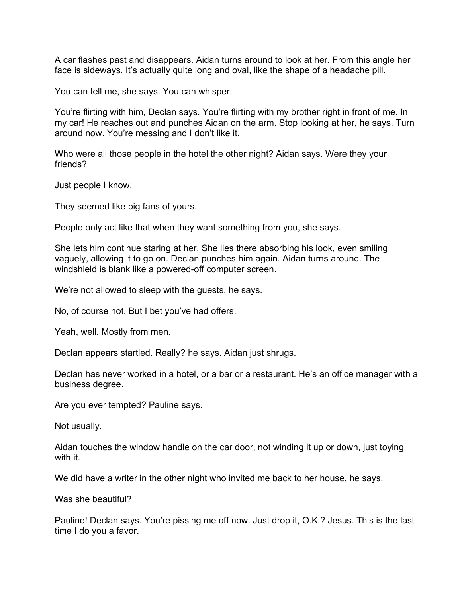A car flashes past and disappears. Aidan turns around to look at her. From this angle her face is sideways. It's actually quite long and oval, like the shape of a headache pill.

You can tell me, she says. You can whisper.

You're flirting with him, Declan says. You're flirting with my brother right in front of me. In my car! He reaches out and punches Aidan on the arm. Stop looking at her, he says. Turn around now. You're messing and I don't like it.

Who were all those people in the hotel the other night? Aidan says. Were they your friends?

Just people I know.

They seemed like big fans of yours.

People only act like that when they want something from you, she says.

She lets him continue staring at her. She lies there absorbing his look, even smiling vaguely, allowing it to go on. Declan punches him again. Aidan turns around. The windshield is blank like a powered-off computer screen.

We're not allowed to sleep with the guests, he says.

No, of course not. But I bet you've had offers.

Yeah, well. Mostly from men.

Declan appears startled. Really? he says. Aidan just shrugs.

Declan has never worked in a hotel, or a bar or a restaurant. He's an office manager with a business degree.

Are you ever tempted? Pauline says.

Not usually.

Aidan touches the window handle on the car door, not winding it up or down, just toying with it.

We did have a writer in the other night who invited me back to her house, he says.

Was she beautiful?

Pauline! Declan says. You're pissing me off now. Just drop it, O.K.? Jesus. This is the last time I do you a favor.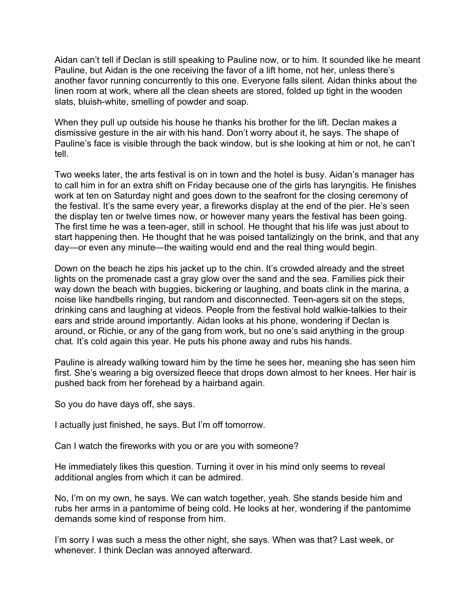Aidan can't tell if Declan is still speaking to Pauline now, or to him. It sounded like he meant Pauline, but Aidan is the one receiving the favor of a lift home, not her, unless there's another favor running concurrently to this one. Everyone falls silent. Aidan thinks about the linen room at work, where all the clean sheets are stored, folded up tight in the wooden slats, bluish-white, smelling of powder and soap.

When they pull up outside his house he thanks his brother for the lift. Declan makes a dismissive gesture in the air with his hand. Don't worry about it, he says. The shape of Pauline's face is visible through the back window, but is she looking at him or not, he can't tell.

Two weeks later, the arts festival is on in town and the hotel is busy. Aidan's manager has to call him in for an extra shift on Friday because one of the girls has laryngitis. He finishes work at ten on Saturday night and goes down to the seafront for the closing ceremony of the festival. It's the same every year, a fireworks display at the end of the pier. He's seen the display ten or twelve times now, or however many years the festival has been going. The first time he was a teen-ager, still in school. He thought that his life was just about to start happening then. He thought that he was poised tantalizingly on the brink, and that any day—or even any minute—the waiting would end and the real thing would begin.

Down on the beach he zips his jacket up to the chin. It's crowded already and the street lights on the promenade cast a gray glow over the sand and the sea. Families pick their way down the beach with buggies, bickering or laughing, and boats clink in the marina, a noise like handbells ringing, but random and disconnected. Teen-agers sit on the steps, drinking cans and laughing at videos. People from the festival hold walkie-talkies to their ears and stride around importantly. Aidan looks at his phone, wondering if Declan is around, or Richie, or any of the gang from work, but no one's said anything in the group chat. It's cold again this year. He puts his phone away and rubs his hands.

Pauline is already walking toward him by the time he sees her, meaning she has seen him first. She's wearing a big oversized fleece that drops down almost to her knees. Her hair is pushed back from her forehead by a hairband again.

So you do have days off, she says.

I actually just finished, he says. But I'm off tomorrow.

Can I watch the fireworks with you or are you with someone?

He immediately likes this question. Turning it over in his mind only seems to reveal additional angles from which it can be admired.

No, I'm on my own, he says. We can watch together, yeah. She stands beside him and rubs her arms in a pantomime of being cold. He looks at her, wondering if the pantomime demands some kind of response from him.

I'm sorry I was such a mess the other night, she says. When was that? Last week, or whenever. I think Declan was annoyed afterward.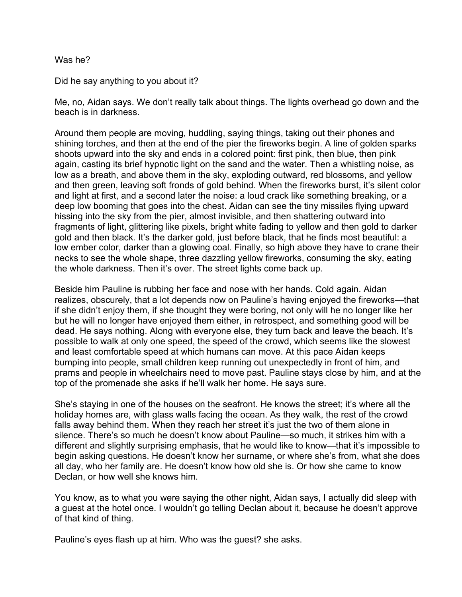## Was he?

Did he say anything to you about it?

Me, no, Aidan says. We don't really talk about things. The lights overhead go down and the beach is in darkness.

Around them people are moving, huddling, saying things, taking out their phones and shining torches, and then at the end of the pier the fireworks begin. A line of golden sparks shoots upward into the sky and ends in a colored point: first pink, then blue, then pink again, casting its brief hypnotic light on the sand and the water. Then a whistling noise, as low as a breath, and above them in the sky, exploding outward, red blossoms, and yellow and then green, leaving soft fronds of gold behind. When the fireworks burst, it's silent color and light at first, and a second later the noise: a loud crack like something breaking, or a deep low booming that goes into the chest. Aidan can see the tiny missiles flying upward hissing into the sky from the pier, almost invisible, and then shattering outward into fragments of light, glittering like pixels, bright white fading to yellow and then gold to darker gold and then black. It's the darker gold, just before black, that he finds most beautiful: a low ember color, darker than a glowing coal. Finally, so high above they have to crane their necks to see the whole shape, three dazzling yellow fireworks, consuming the sky, eating the whole darkness. Then it's over. The street lights come back up.

Beside him Pauline is rubbing her face and nose with her hands. Cold again. Aidan realizes, obscurely, that a lot depends now on Pauline's having enjoyed the fireworks—that if she didn't enjoy them, if she thought they were boring, not only will he no longer like her but he will no longer have enjoyed them either, in retrospect, and something good will be dead. He says nothing. Along with everyone else, they turn back and leave the beach. It's possible to walk at only one speed, the speed of the crowd, which seems like the slowest and least comfortable speed at which humans can move. At this pace Aidan keeps bumping into people, small children keep running out unexpectedly in front of him, and prams and people in wheelchairs need to move past. Pauline stays close by him, and at the top of the promenade she asks if he'll walk her home. He says sure.

She's staying in one of the houses on the seafront. He knows the street; it's where all the holiday homes are, with glass walls facing the ocean. As they walk, the rest of the crowd falls away behind them. When they reach her street it's just the two of them alone in silence. There's so much he doesn't know about Pauline—so much, it strikes him with a different and slightly surprising emphasis, that he would like to know—that it's impossible to begin asking questions. He doesn't know her surname, or where she's from, what she does all day, who her family are. He doesn't know how old she is. Or how she came to know Declan, or how well she knows him.

You know, as to what you were saying the other night, Aidan says, I actually did sleep with a guest at the hotel once. I wouldn't go telling Declan about it, because he doesn't approve of that kind of thing.

Pauline's eyes flash up at him. Who was the guest? she asks.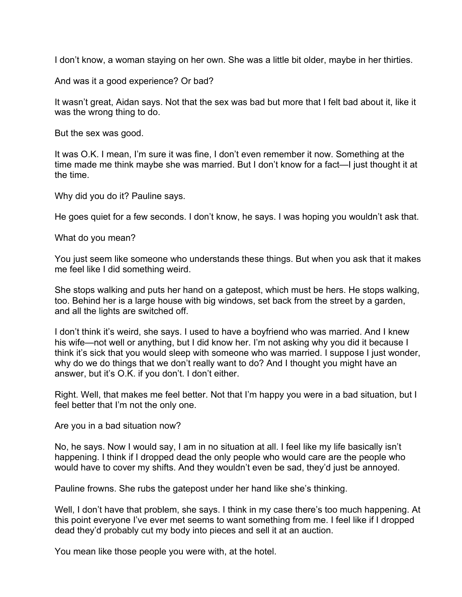I don't know, a woman staying on her own. She was a little bit older, maybe in her thirties.

And was it a good experience? Or bad?

It wasn't great, Aidan says. Not that the sex was bad but more that I felt bad about it, like it was the wrong thing to do.

But the sex was good.

It was O.K. I mean, I'm sure it was fine, I don't even remember it now. Something at the time made me think maybe she was married. But I don't know for a fact—I just thought it at the time.

Why did you do it? Pauline says.

He goes quiet for a few seconds. I don't know, he says. I was hoping you wouldn't ask that.

## What do you mean?

You just seem like someone who understands these things. But when you ask that it makes me feel like I did something weird.

She stops walking and puts her hand on a gatepost, which must be hers. He stops walking, too. Behind her is a large house with big windows, set back from the street by a garden, and all the lights are switched off.

I don't think it's weird, she says. I used to have a boyfriend who was married. And I knew his wife—not well or anything, but I did know her. I'm not asking why you did it because I think it's sick that you would sleep with someone who was married. I suppose I just wonder, why do we do things that we don't really want to do? And I thought you might have an answer, but it's O.K. if you don't. I don't either.

Right. Well, that makes me feel better. Not that I'm happy you were in a bad situation, but I feel better that I'm not the only one.

Are you in a bad situation now?

No, he says. Now I would say, I am in no situation at all. I feel like my life basically isn't happening. I think if I dropped dead the only people who would care are the people who would have to cover my shifts. And they wouldn't even be sad, they'd just be annoyed.

Pauline frowns. She rubs the gatepost under her hand like she's thinking.

Well, I don't have that problem, she says. I think in my case there's too much happening. At this point everyone I've ever met seems to want something from me. I feel like if I dropped dead they'd probably cut my body into pieces and sell it at an auction.

You mean like those people you were with, at the hotel.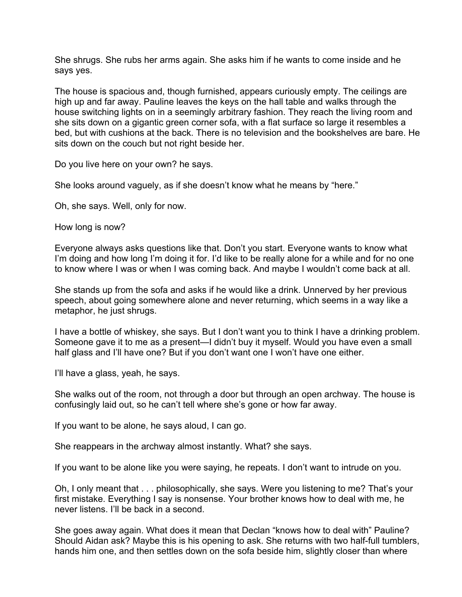She shrugs. She rubs her arms again. She asks him if he wants to come inside and he says yes.

The house is spacious and, though furnished, appears curiously empty. The ceilings are high up and far away. Pauline leaves the keys on the hall table and walks through the house switching lights on in a seemingly arbitrary fashion. They reach the living room and she sits down on a gigantic green corner sofa, with a flat surface so large it resembles a bed, but with cushions at the back. There is no television and the bookshelves are bare. He sits down on the couch but not right beside her.

Do you live here on your own? he says.

She looks around vaguely, as if she doesn't know what he means by "here."

Oh, she says. Well, only for now.

How long is now?

Everyone always asks questions like that. Don't you start. Everyone wants to know what I'm doing and how long I'm doing it for. I'd like to be really alone for a while and for no one to know where I was or when I was coming back. And maybe I wouldn't come back at all.

She stands up from the sofa and asks if he would like a drink. Unnerved by her previous speech, about going somewhere alone and never returning, which seems in a way like a metaphor, he just shrugs.

I have a bottle of whiskey, she says. But I don't want you to think I have a drinking problem. Someone gave it to me as a present—I didn't buy it myself. Would you have even a small half glass and I'll have one? But if you don't want one I won't have one either.

I'll have a glass, yeah, he says.

She walks out of the room, not through a door but through an open archway. The house is confusingly laid out, so he can't tell where she's gone or how far away.

If you want to be alone, he says aloud, I can go.

She reappears in the archway almost instantly. What? she says.

If you want to be alone like you were saying, he repeats. I don't want to intrude on you.

Oh, I only meant that . . . philosophically, she says. Were you listening to me? That's your first mistake. Everything I say is nonsense. Your brother knows how to deal with me, he never listens. I'll be back in a second.

She goes away again. What does it mean that Declan "knows how to deal with" Pauline? Should Aidan ask? Maybe this is his opening to ask. She returns with two half-full tumblers, hands him one, and then settles down on the sofa beside him, slightly closer than where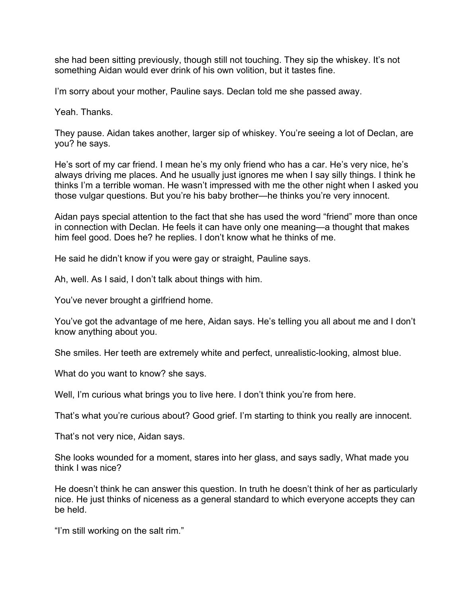she had been sitting previously, though still not touching. They sip the whiskey. It's not something Aidan would ever drink of his own volition, but it tastes fine.

I'm sorry about your mother, Pauline says. Declan told me she passed away.

Yeah. Thanks.

They pause. Aidan takes another, larger sip of whiskey. You're seeing a lot of Declan, are you? he says.

He's sort of my car friend. I mean he's my only friend who has a car. He's very nice, he's always driving me places. And he usually just ignores me when I say silly things. I think he thinks I'm a terrible woman. He wasn't impressed with me the other night when I asked you those vulgar questions. But you're his baby brother—he thinks you're very innocent.

Aidan pays special attention to the fact that she has used the word "friend" more than once in connection with Declan. He feels it can have only one meaning—a thought that makes him feel good. Does he? he replies. I don't know what he thinks of me.

He said he didn't know if you were gay or straight, Pauline says.

Ah, well. As I said, I don't talk about things with him.

You've never brought a girlfriend home.

You've got the advantage of me here, Aidan says. He's telling you all about me and I don't know anything about you.

She smiles. Her teeth are extremely white and perfect, unrealistic-looking, almost blue.

What do you want to know? she says.

Well, I'm curious what brings you to live here. I don't think you're from here.

That's what you're curious about? Good grief. I'm starting to think you really are innocent.

That's not very nice, Aidan says.

She looks wounded for a moment, stares into her glass, and says sadly, What made you think I was nice?

He doesn't think he can answer this question. In truth he doesn't think of her as particularly nice. He just thinks of niceness as a general standard to which everyone accepts they can be held.

"I'm still working on the salt rim."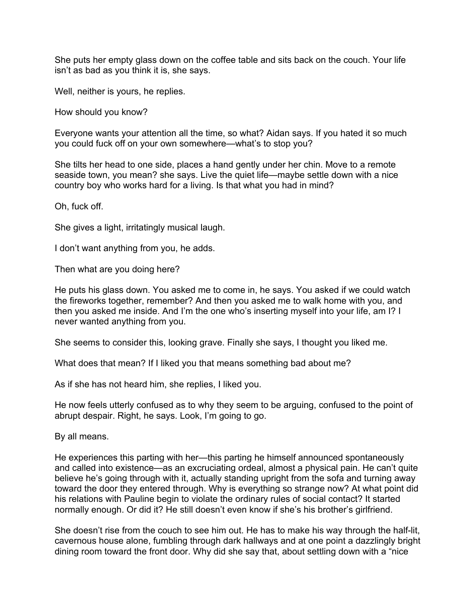She puts her empty glass down on the coffee table and sits back on the couch. Your life isn't as bad as you think it is, she says.

Well, neither is yours, he replies.

How should you know?

Everyone wants your attention all the time, so what? Aidan says. If you hated it so much you could fuck off on your own somewhere—what's to stop you?

She tilts her head to one side, places a hand gently under her chin. Move to a remote seaside town, you mean? she says. Live the quiet life—maybe settle down with a nice country boy who works hard for a living. Is that what you had in mind?

Oh, fuck off.

She gives a light, irritatingly musical laugh.

I don't want anything from you, he adds.

Then what are you doing here?

He puts his glass down. You asked me to come in, he says. You asked if we could watch the fireworks together, remember? And then you asked me to walk home with you, and then you asked me inside. And I'm the one who's inserting myself into your life, am I? I never wanted anything from you.

She seems to consider this, looking grave. Finally she says, I thought you liked me.

What does that mean? If I liked you that means something bad about me?

As if she has not heard him, she replies, I liked you.

He now feels utterly confused as to why they seem to be arguing, confused to the point of abrupt despair. Right, he says. Look, I'm going to go.

By all means.

He experiences this parting with her—this parting he himself announced spontaneously and called into existence—as an excruciating ordeal, almost a physical pain. He can't quite believe he's going through with it, actually standing upright from the sofa and turning away toward the door they entered through. Why is everything so strange now? At what point did his relations with Pauline begin to violate the ordinary rules of social contact? It started normally enough. Or did it? He still doesn't even know if she's his brother's girlfriend.

She doesn't rise from the couch to see him out. He has to make his way through the half-lit, cavernous house alone, fumbling through dark hallways and at one point a dazzlingly bright dining room toward the front door. Why did she say that, about settling down with a "nice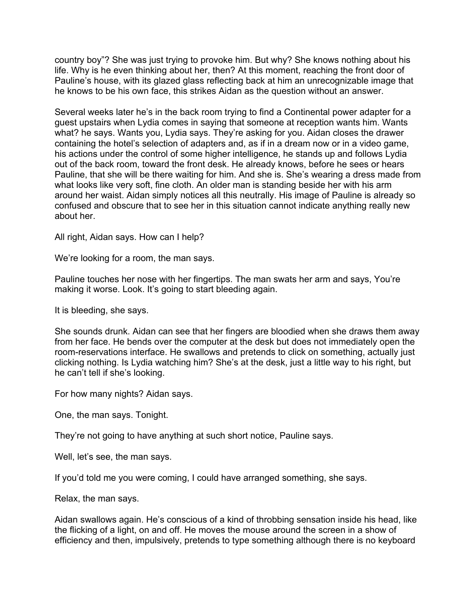country boy"? She was just trying to provoke him. But why? She knows nothing about his life. Why is he even thinking about her, then? At this moment, reaching the front door of Pauline's house, with its glazed glass reflecting back at him an unrecognizable image that he knows to be his own face, this strikes Aidan as the question without an answer.

Several weeks later he's in the back room trying to find a Continental power adapter for a guest upstairs when Lydia comes in saying that someone at reception wants him. Wants what? he says. Wants you, Lydia says. They're asking for you. Aidan closes the drawer containing the hotel's selection of adapters and, as if in a dream now or in a video game, his actions under the control of some higher intelligence, he stands up and follows Lydia out of the back room, toward the front desk. He already knows, before he sees or hears Pauline, that she will be there waiting for him. And she is. She's wearing a dress made from what looks like very soft, fine cloth. An older man is standing beside her with his arm around her waist. Aidan simply notices all this neutrally. His image of Pauline is already so confused and obscure that to see her in this situation cannot indicate anything really new about her.

All right, Aidan says. How can I help?

We're looking for a room, the man says.

Pauline touches her nose with her fingertips. The man swats her arm and says, You're making it worse. Look. It's going to start bleeding again.

It is bleeding, she says.

She sounds drunk. Aidan can see that her fingers are bloodied when she draws them away from her face. He bends over the computer at the desk but does not immediately open the room-reservations interface. He swallows and pretends to click on something, actually just clicking nothing. Is Lydia watching him? She's at the desk, just a little way to his right, but he can't tell if she's looking.

For how many nights? Aidan says.

One, the man says. Tonight.

They're not going to have anything at such short notice, Pauline says.

Well, let's see, the man says.

If you'd told me you were coming, I could have arranged something, she says.

Relax, the man says.

Aidan swallows again. He's conscious of a kind of throbbing sensation inside his head, like the flicking of a light, on and off. He moves the mouse around the screen in a show of efficiency and then, impulsively, pretends to type something although there is no keyboard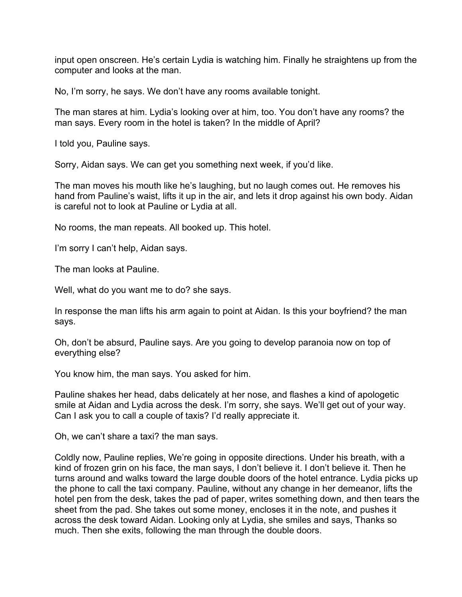input open onscreen. He's certain Lydia is watching him. Finally he straightens up from the computer and looks at the man.

No, I'm sorry, he says. We don't have any rooms available tonight.

The man stares at him. Lydia's looking over at him, too. You don't have any rooms? the man says. Every room in the hotel is taken? In the middle of April?

I told you, Pauline says.

Sorry, Aidan says. We can get you something next week, if you'd like.

The man moves his mouth like he's laughing, but no laugh comes out. He removes his hand from Pauline's waist, lifts it up in the air, and lets it drop against his own body. Aidan is careful not to look at Pauline or Lydia at all.

No rooms, the man repeats. All booked up. This hotel.

I'm sorry I can't help, Aidan says.

The man looks at Pauline.

Well, what do you want me to do? she says.

In response the man lifts his arm again to point at Aidan. Is this your boyfriend? the man says.

Oh, don't be absurd, Pauline says. Are you going to develop paranoia now on top of everything else?

You know him, the man says. You asked for him.

Pauline shakes her head, dabs delicately at her nose, and flashes a kind of apologetic smile at Aidan and Lydia across the desk. I'm sorry, she says. We'll get out of your way. Can I ask you to call a couple of taxis? I'd really appreciate it.

Oh, we can't share a taxi? the man says.

Coldly now, Pauline replies, We're going in opposite directions. Under his breath, with a kind of frozen grin on his face, the man says, I don't believe it. I don't believe it. Then he turns around and walks toward the large double doors of the hotel entrance. Lydia picks up the phone to call the taxi company. Pauline, without any change in her demeanor, lifts the hotel pen from the desk, takes the pad of paper, writes something down, and then tears the sheet from the pad. She takes out some money, encloses it in the note, and pushes it across the desk toward Aidan. Looking only at Lydia, she smiles and says, Thanks so much. Then she exits, following the man through the double doors.